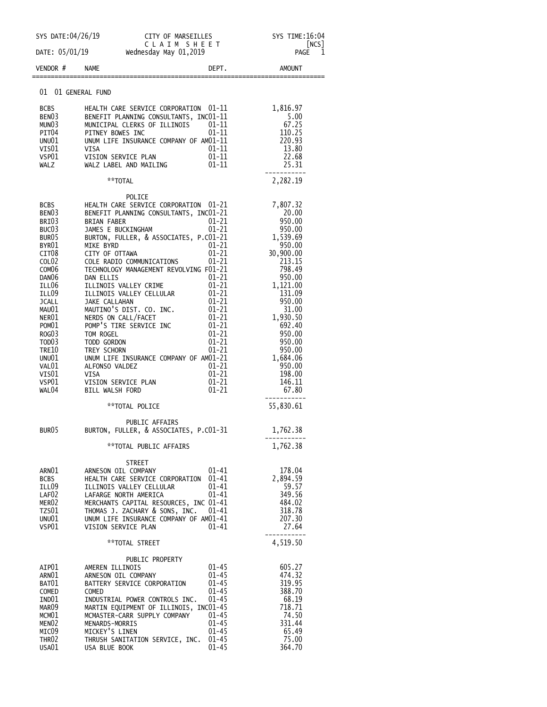| SYS DATE:04/26/19                                                                                                                                                                                                                                                                                                     | CITY OF MARSEILLES<br>CLAIM SHEET                                                                                                                                                                                                                                                                                                                                                                                                                                                                                                                                                                                                                                                                                                                                                                                                          | SYS TIME: 16:04                                                                                                                                                                                                                                        |
|-----------------------------------------------------------------------------------------------------------------------------------------------------------------------------------------------------------------------------------------------------------------------------------------------------------------------|--------------------------------------------------------------------------------------------------------------------------------------------------------------------------------------------------------------------------------------------------------------------------------------------------------------------------------------------------------------------------------------------------------------------------------------------------------------------------------------------------------------------------------------------------------------------------------------------------------------------------------------------------------------------------------------------------------------------------------------------------------------------------------------------------------------------------------------------|--------------------------------------------------------------------------------------------------------------------------------------------------------------------------------------------------------------------------------------------------------|
| DATE: 05/01/19                                                                                                                                                                                                                                                                                                        | [NCS]<br><b>PAGE</b><br>1                                                                                                                                                                                                                                                                                                                                                                                                                                                                                                                                                                                                                                                                                                                                                                                                                  |                                                                                                                                                                                                                                                        |
| VENDOR #                                                                                                                                                                                                                                                                                                              | DEPT.<br><b>NAME</b>                                                                                                                                                                                                                                                                                                                                                                                                                                                                                                                                                                                                                                                                                                                                                                                                                       | AMOUNT                                                                                                                                                                                                                                                 |
| 01 01 GENERAL FUND                                                                                                                                                                                                                                                                                                    |                                                                                                                                                                                                                                                                                                                                                                                                                                                                                                                                                                                                                                                                                                                                                                                                                                            |                                                                                                                                                                                                                                                        |
| <b>BCBS</b><br>BEN <sub>03</sub><br>MUNO3<br>PIT04<br>UNU01<br>VIS01<br>VSP01<br>WALZ                                                                                                                                                                                                                                 | HEALTH CARE SERVICE CORPORATION 01-11<br>BENEFIT PLANNING CONSULTANTS, INCO1-11<br>MUNICIPAL CLERKS OF ILLINOIS 01-11<br>01-11<br>PITNEY BOWES INC<br>UNUM LIFE INSURANCE COMPANY OF AM01-11<br>$01 - 11$<br>VISA<br>.<br>VISION SERVICE PLAN<br>WALZ LABEL AND MAILING<br>$01 - 11$<br>$01 - 11$                                                                                                                                                                                                                                                                                                                                                                                                                                                                                                                                          | 1,816.97<br>5.00<br>67.25<br>67.25<br>110.25<br>220.93<br>13.80<br>22.68<br>25.31<br>-----------                                                                                                                                                       |
|                                                                                                                                                                                                                                                                                                                       | **TOTAL                                                                                                                                                                                                                                                                                                                                                                                                                                                                                                                                                                                                                                                                                                                                                                                                                                    | 2,282.19                                                                                                                                                                                                                                               |
| <b>BCBS</b><br>BEN <sub>03</sub><br>BRI03<br>BUC <sub>03</sub><br>BUR <sub>05</sub><br>BYR01<br>CIT <sub>08</sub><br>COL <sub>02</sub><br>COM <sub>06</sub><br>DAN <sub>06</sub><br>ILL06<br>ILL09<br><b>JCALL</b><br>MAU01<br>NER01<br>POM01<br>ROG03<br>TOD03<br>TRE10<br>UNU01<br>VAL01<br>VISO1<br>VSP01<br>WAL04 | POLICE<br>HEALTH CARE SERVICE CORPORATION 01-21<br>BENEFIT PLANNING CONSULTANTS, INC01-21<br>$01 - 21$<br><b>BRIAN FABER</b><br>01-21<br>JAMES E BUCKINGHAM<br>BURTON, FULLER, & ASSOCIATES, P.CO1-21<br>MIKE BYRD<br>$01 - 21$<br>$01 - 21$<br>CITY OF OTTAWA<br>$01 - 21$<br>COLE RADIO COMMUNICATIONS<br>TECHNOLOGY MANAGEMENT REVOLVING F01-21<br>$01 - 21$<br>DAN ELLIS<br>01-21<br>ILLINOIS VALLEY CRIME<br>01–21<br>ILLINOIS VALLEY CELLULAR<br>01-21<br>JAKE CALLAHAN<br>MAUTINO'S DIST. CO. INC.<br>$01 - 21$<br>01-21<br>NERDS ON CALL/FACET<br>POMP'S TIRE SERVICE INC<br>01–21<br>$01 - 21$<br>TOM ROGEL<br>01-21<br>TODD GORDON<br>$01 - 21$<br>TREY SCHORN<br>UNUM LIFE INSURANCE COMPANY OF AM01-21<br>$01 - 21$<br>ALFONSO VALDEZ<br>$01 - 21$<br>VISA<br>$01 - 21$<br>VISION SERVICE PLAN<br>$01 - 21$<br>BILL WALSH FORD | 7,807.32<br>20.00<br>950.00<br>950.00<br>1,539.69<br>950.00<br>30,900.00<br>213.15<br>798.49<br>950.00<br>1,121.00<br>131.09<br>950.00<br>31.00<br>1,930.50<br>692.40<br>950.00<br>950.00<br>950.00<br>1,684.06<br>950.00<br>198.00<br>146.11<br>67.80 |
|                                                                                                                                                                                                                                                                                                                       | **TOTAL POLICE                                                                                                                                                                                                                                                                                                                                                                                                                                                                                                                                                                                                                                                                                                                                                                                                                             | 55,830.61                                                                                                                                                                                                                                              |
| BUR <sub>05</sub>                                                                                                                                                                                                                                                                                                     | PUBLIC AFFAIRS<br>BURTON, FULLER, & ASSOCIATES, P.C01-31<br>**TOTAL PUBLIC AFFAIRS                                                                                                                                                                                                                                                                                                                                                                                                                                                                                                                                                                                                                                                                                                                                                         | 1,762.38<br>1,762.38                                                                                                                                                                                                                                   |
| ARN01<br><b>BCBS</b><br>ILL09<br>LAF <sub>02</sub><br>MER <sub>02</sub><br>TZS01<br>UNU01<br>VSP01                                                                                                                                                                                                                    | STREET<br>$01 - 41$<br>ARNESON OIL COMPANY<br>HEALTH CARE SERVICE CORPORATION<br>$01 - 41$<br>$01 - 41$<br>ILLINOIS VALLEY CELLULAR<br>$01 - 41$<br>LAFARGE NORTH AMERICA<br>MERCHANTS CAPITAL RESOURCES, INC 01-41<br>THOMAS J. ZACHARY & SONS, INC.<br>$01 - 41$<br>UNUM LIFE INSURANCE COMPANY OF AM01-41<br>01-41<br>VISION SERVICE PLAN                                                                                                                                                                                                                                                                                                                                                                                                                                                                                               | 178.04<br>2,894.59<br>59.57<br>349.56<br>484.02<br>318.78<br>207.30<br>27.64                                                                                                                                                                           |
|                                                                                                                                                                                                                                                                                                                       | **TOTAL STREET                                                                                                                                                                                                                                                                                                                                                                                                                                                                                                                                                                                                                                                                                                                                                                                                                             | 4,519.50                                                                                                                                                                                                                                               |
| AIP01<br>ARN01<br>BAT01<br>COMED<br>IND01<br>MAR <sub>09</sub><br>MCM <sub>01</sub><br>MEN <sub>02</sub><br>MIC09<br>THR <sub>02</sub><br>USA01                                                                                                                                                                       | PUBLIC PROPERTY<br>$01 - 45$<br>AMEREN ILLINOIS<br>$01 - 45$<br>ARNESON OIL COMPANY<br>$01 - 45$<br>BATTERY SERVICE CORPORATION<br>$01 - 45$<br>COMED<br>$01 - 45$<br>INDUSTRIAL POWER CONTROLS INC.<br>MARTIN EQUIPMENT OF ILLINOIS, INC01-45<br>MCMASTER-CARR SUPPLY COMPANY<br>$01 - 45$<br>MENARDS-MORRIS<br>$01 - 45$<br>MICKEY'S LINEN<br>$01 - 45$<br>THRUSH SANITATION SERVICE, INC.<br>$01 - 45$<br>$01 - 45$<br>USA BLUE BOOK                                                                                                                                                                                                                                                                                                                                                                                                    | 605.27<br>474.32<br>319.95<br>388.70<br>68.19<br>718.71<br>74.50<br>331.44<br>65.49<br>75.00<br>364.70                                                                                                                                                 |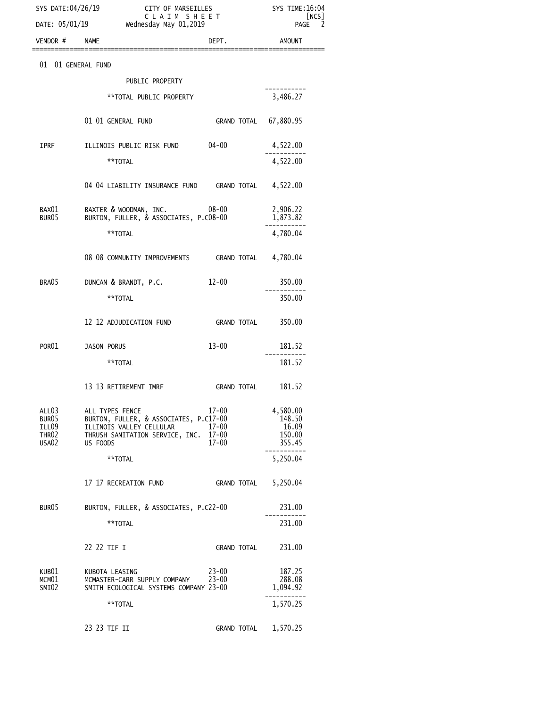| SYS DATE:04/26/19<br>DATE: 05/01/19                               |                                                                                                                                      | CITY OF MARSEILLES<br>CLAIM SHEET<br>Wednesday May 01,2019 |                                                 |
|-------------------------------------------------------------------|--------------------------------------------------------------------------------------------------------------------------------------|------------------------------------------------------------|-------------------------------------------------|
| VENDOR # NAME                                                     |                                                                                                                                      | DEPT.                                                      | <b>AMOUNT</b>                                   |
| 01 01 GENERAL FUND                                                |                                                                                                                                      |                                                            |                                                 |
|                                                                   | PUBLIC PROPERTY                                                                                                                      |                                                            |                                                 |
|                                                                   | ** TOTAL PUBLIC PROPERTY                                                                                                             |                                                            | 3,486.27                                        |
|                                                                   | 01 01 GENERAL FUND                                                                                                                   | GRAND TOTAL 67,880.95                                      |                                                 |
| IPRF                                                              | ILLINOIS PUBLIC RISK FUND                                                                                                            | $04 - 00$                                                  | 4,522.00                                        |
|                                                                   | **TOTAL                                                                                                                              |                                                            | 4,522.00                                        |
|                                                                   | 04 04 LIABILITY INSURANCE FUND GRAND TOTAL 4,522.00                                                                                  |                                                            |                                                 |
| BAX01<br>BUR05                                                    | BAXTER & WOODMAN, INC.<br>BURTON, FULLER, & ASSOCIATES, P.CO8-00                                                                     | $08 - 00$                                                  | 2,906.22<br>1,873.82                            |
|                                                                   | **TOTAL                                                                                                                              |                                                            | 4,780.04                                        |
|                                                                   | 08 08 COMMUNITY IMPROVEMENTS GRAND TOTAL 4,780.04                                                                                    |                                                            |                                                 |
| BRA05                                                             | DUNCAN & BRANDT, P.C.                                                                                                                | $12 - 00$                                                  | 350.00                                          |
|                                                                   | **TOTAL                                                                                                                              |                                                            | 350.00                                          |
|                                                                   | 12 12 ADJUDICATION FUND                                                                                                              | GRAND TOTAL                                                | 350.00                                          |
| POR <sub>01</sub>                                                 | JASON PORUS                                                                                                                          | $13 - 00$                                                  | 181.52                                          |
|                                                                   | **TOTAL                                                                                                                              |                                                            | 181.52                                          |
|                                                                   | 13 13 RETIREMENT IMRF                                                                                                                | GRAND TOTAL                                                | 181.52                                          |
| ALL <sub>03</sub><br>BUR05<br>ILL09<br>THR02<br>USA <sub>02</sub> | ALL TYPES FENCE<br>BURTON, FULLER, & ASSOCIATES, P.C17-00<br>ILLINOIS VALLEY CELLULAR<br>THRUSH SANITATION SERVICE, INC.<br>US FOODS | $17 - 00$<br>$17 - 00$<br>$17 - 00$<br>$17 - 00$           | 4,580.00<br>148.50<br>16.09<br>150.00<br>355.45 |
|                                                                   | **TOTAL                                                                                                                              |                                                            | 5,250.04                                        |
|                                                                   | 17 17 RECREATION FUND                                                                                                                | GRAND TOTAL                                                | 5,250.04                                        |
| BUR <sub>05</sub>                                                 | BURTON, FULLER, & ASSOCIATES, P.C22-00                                                                                               |                                                            | 231.00                                          |
|                                                                   | **TOTAL                                                                                                                              |                                                            | 231.00                                          |
|                                                                   | 22 22 TIF I                                                                                                                          | GRAND TOTAL                                                | 231.00                                          |
| KUB01<br>MCM01<br>SMI02                                           | KUBOTA LEASING<br>MCMASTER-CARR SUPPLY COMPANY<br>SMITH ECOLOGICAL SYSTEMS COMPANY 23-00                                             | $23 - 00$<br>$23 - 00$                                     | 187.25<br>288.08<br>1,094.92                    |
|                                                                   | **TOTAL                                                                                                                              |                                                            | 1,570.25                                        |
|                                                                   | 23 23 TIF II                                                                                                                         | <b>GRAND TOTAL</b>                                         | 1,570.25                                        |